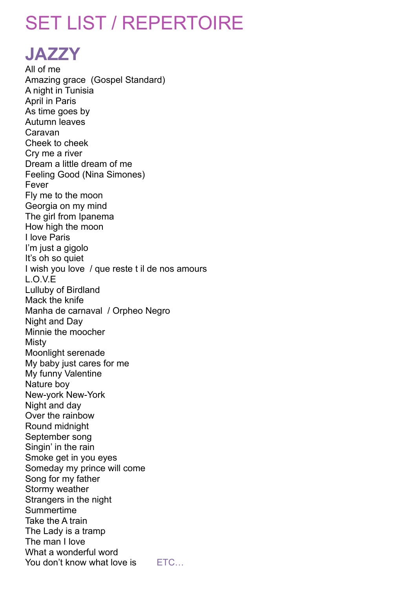# SET LIST / REPERTOIRE

**JAZZY**

All of me Amazing grace (Gospel Standard) A night in Tunisia April in Paris As time goes by Autumn leaves Caravan Cheek to cheek Cry me a river Dream a little dream of me Feeling Good (Nina Simones) Fever Fly me to the moon Georgia on my mind The girl from Ipanema How high the moon I love Paris I'm just a gigolo It's oh so quiet I wish you love / que reste t il de nos amours L.O.V.E Lulluby of Birdland Mack the knife Manha de carnaval / Orpheo Negro Night and Day Minnie the moocher Misty Moonlight serenade My baby just cares for me My funny Valentine Nature boy New-york New-York Night and day Over the rainbow Round midnight September song Singin' in the rain Smoke get in you eyes Someday my prince will come Song for my father Stormy weather Strangers in the night Summertime Take the A train The Lady is a tramp The man I love What a wonderful word You don't know what love is ETC...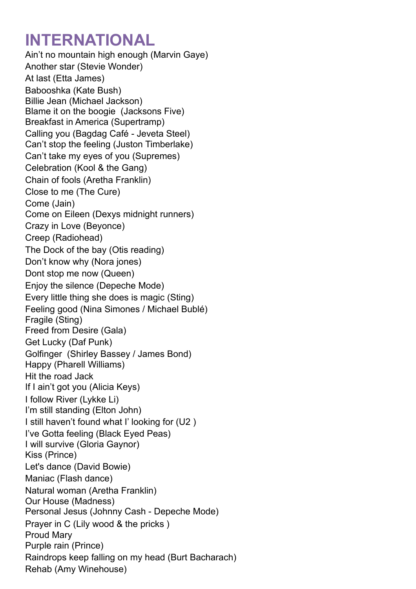## **INTERNATIONAL**

Ain't no mountain high enough (Marvin Gaye) Another star (Stevie Wonder) At last (Etta James) Babooshka (Kate Bush) Billie Jean (Michael Jackson) Blame it on the boogie (Jacksons Five) Breakfast in America (Supertramp) Calling you (Bagdag Café - Jeveta Steel) Can't stop the feeling (Juston Timberlake) Can't take my eyes of you (Supremes) Celebration (Kool & the Gang) Chain of fools (Aretha Franklin) Close to me (The Cure) Come (Jain) Come on Eileen (Dexys midnight runners) Crazy in Love (Beyonce) Creep (Radiohead) The Dock of the bay (Otis reading) Don't know why (Nora jones) Dont stop me now (Queen) Enjoy the silence (Depeche Mode) Every little thing she does is magic (Sting) Feeling good (Nina Simones / Michael Bublé) Fragile (Sting) Freed from Desire (Gala) Get Lucky (Daf Punk) Golfinger (Shirley Bassey / James Bond) Happy (Pharell Williams) Hit the road Jack If I ain't got you (Alicia Keys) I follow River (Lykke Li) I'm still standing (Elton John) I still haven't found what I' looking for (U2 ) I've Gotta feeling (Black Eyed Peas) I will survive (Gloria Gaynor) Kiss (Prince) Let's dance (David Bowie) Maniac (Flash dance) Natural woman (Aretha Franklin) Our House (Madness) Personal Jesus (Johnny Cash - Depeche Mode) Prayer in C (Lily wood & the pricks) Proud Mary Purple rain (Prince) Raindrops keep falling on my head (Burt Bacharach) Rehab (Amy Winehouse)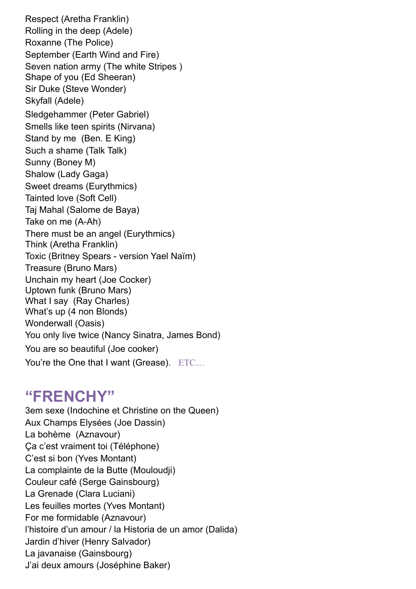Respect (Aretha Franklin) Rolling in the deep (Adele) Roxanne (The Police) September (Earth Wind and Fire) Seven nation army (The white Stripes ) Shape of you (Ed Sheeran) Sir Duke (Steve Wonder) Skyfall (Adele) Sledgehammer (Peter Gabriel) Smells like teen spirits (Nirvana) Stand by me (Ben. E King) Such a shame (Talk Talk) Sunny (Boney M) Shalow (Lady Gaga) Sweet dreams (Eurythmics) Tainted love (Soft Cell) Taj Mahal (Salome de Baya) Take on me (A-Ah) There must be an angel (Eurythmics) Think (Aretha Franklin) Toxic (Britney Spears - version Yael Naïm) Treasure (Bruno Mars) Unchain my heart (Joe Cocker) Uptown funk (Bruno Mars) What I say (Ray Charles) What's up (4 non Blonds) Wonderwall (Oasis) You only live twice (Nancy Sinatra, James Bond) You are so beautiful (Joe cooker) You're the One that I want (Grease). ETC...

#### **"FRENCHY"**

3em sexe (Indochine et Christine on the Queen) Aux Champs Elysées (Joe Dassin) La bohème (Aznavour) Ça c'est vraiment toi (Téléphone) C'est si bon (Yves Montant) La complainte de la Butte (Mouloudji) Couleur café (Serge Gainsbourg) La Grenade (Clara Luciani) Les feuilles mortes (Yves Montant) For me formidable (Aznavour) l'histoire d'un amour / la Historia de un amor (Dalida) Jardin d'hiver (Henry Salvador) La javanaise (Gainsbourg) J'ai deux amours (Joséphine Baker)